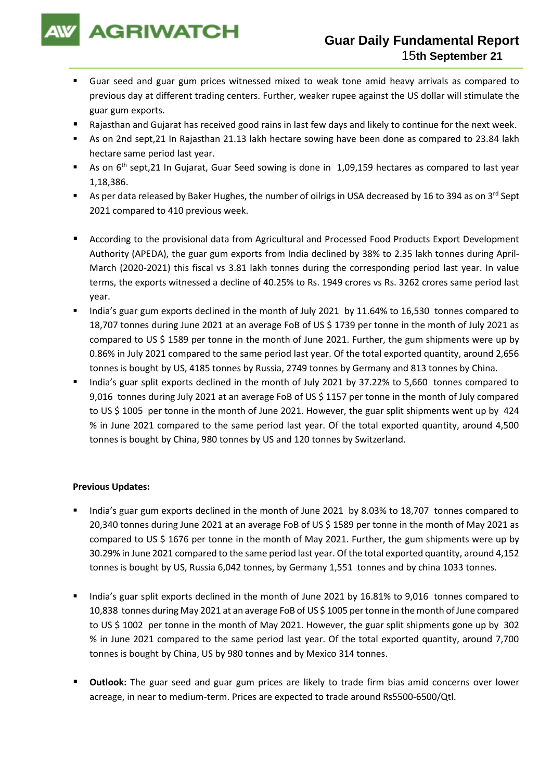

- Guar seed and guar gum prices witnessed mixed to weak tone amid heavy arrivals as compared to previous day at different trading centers. Further, weaker rupee against the US dollar will stimulate the guar gum exports.
- Rajasthan and Gujarat has received good rains in last few days and likely to continue for the next week.
- As on 2nd sept, 21 In Rajasthan 21.13 lakh hectare sowing have been done as compared to 23.84 lakh hectare same period last year.
- As on 6<sup>th</sup> sept,21 In Gujarat, Guar Seed sowing is done in 1,09,159 hectares as compared to last year 1,18,386.
- As per data released by Baker Hughes, the number of oilrigs in USA decreased by 16 to 394 as on 3<sup>rd</sup> Sept 2021 compared to 410 previous week.
- According to the provisional data from Agricultural and Processed Food Products Export Development Authority (APEDA), the guar gum exports from India declined by 38% to 2.35 lakh tonnes during April-March (2020-2021) this fiscal vs 3.81 lakh tonnes during the corresponding period last year. In value terms, the exports witnessed a decline of 40.25% to Rs. 1949 crores vs Rs. 3262 crores same period last year.
- India's guar gum exports declined in the month of July 2021 by 11.64% to 16,530 tonnes compared to 18,707 tonnes during June 2021 at an average FoB of US \$ 1739 per tonne in the month of July 2021 as compared to US \$ 1589 per tonne in the month of June 2021. Further, the gum shipments were up by 0.86% in July 2021 compared to the same period last year. Of the total exported quantity, around 2,656 tonnes is bought by US, 4185 tonnes by Russia, 2749 tonnes by Germany and 813 tonnes by China.
- India's guar split exports declined in the month of July 2021 by 37.22% to 5,660 tonnes compared to 9,016 tonnes during July 2021 at an average FoB of US \$ 1157 per tonne in the month of July compared to US \$ 1005 per tonne in the month of June 2021. However, the guar split shipments went up by 424 % in June 2021 compared to the same period last year. Of the total exported quantity, around 4,500 tonnes is bought by China, 980 tonnes by US and 120 tonnes by Switzerland.

## **Previous Updates:**

- India's guar gum exports declined in the month of June 2021 by 8.03% to 18,707 tonnes compared to 20,340 tonnes during June 2021 at an average FoB of US \$ 1589 per tonne in the month of May 2021 as compared to US \$ 1676 per tonne in the month of May 2021. Further, the gum shipments were up by 30.29% in June 2021 compared to the same period last year. Of the total exported quantity, around 4,152 tonnes is bought by US, Russia 6,042 tonnes, by Germany 1,551 tonnes and by china 1033 tonnes.
- India's guar split exports declined in the month of June 2021 by 16.81% to 9,016 tonnes compared to 10,838 tonnes during May 2021 at an average FoB of US \$ 1005 per tonne in the month of June compared to US \$ 1002 per tonne in the month of May 2021. However, the guar split shipments gone up by 302 % in June 2021 compared to the same period last year. Of the total exported quantity, around 7,700 tonnes is bought by China, US by 980 tonnes and by Mexico 314 tonnes.
- **Outlook:** The guar seed and guar gum prices are likely to trade firm bias amid concerns over lower acreage, in near to medium-term. Prices are expected to trade around Rs5500-6500/Qtl.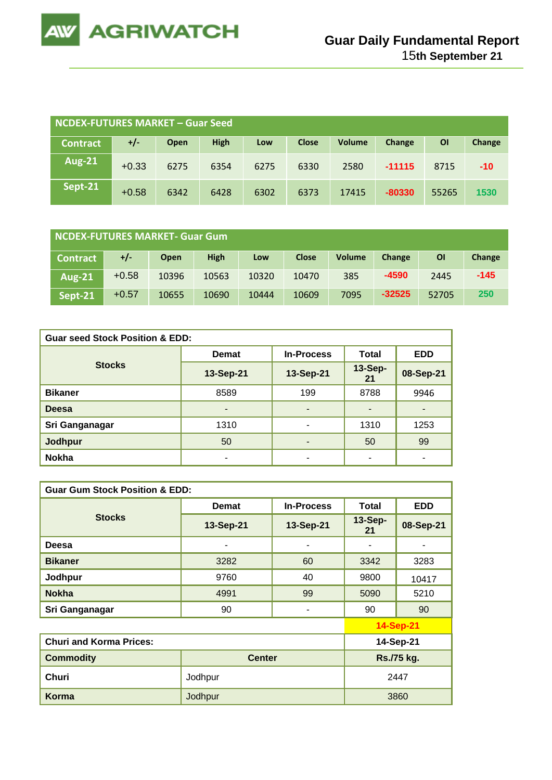

| <b>NCDEX-FUTURES MARKET - Guar Seed</b> |         |      |             |      |              |               |          |           |        |
|-----------------------------------------|---------|------|-------------|------|--------------|---------------|----------|-----------|--------|
| <b>Contract</b>                         | $+/-$   | Open | <b>High</b> | Low  | <b>Close</b> | <b>Volume</b> | Change   | <b>OI</b> | Change |
| <b>Aug-21</b>                           | $+0.33$ | 6275 | 6354        | 6275 | 6330         | 2580          | $-11115$ | 8715      | $-10$  |
| Sept-21                                 | $+0.58$ | 6342 | 6428        | 6302 | 6373         | 17415         | $-80330$ | 55265     | 1530   |

| NCDEX-FUTURES MARKET- Guar Gum |         |             |             |       |              |               |          |       |        |
|--------------------------------|---------|-------------|-------------|-------|--------------|---------------|----------|-------|--------|
| <b>Contract</b>                | +/-     | <b>Open</b> | <b>High</b> | Low   | <b>Close</b> | <b>Volume</b> | Change   | ΟI    | Change |
| <b>Aug-21</b>                  | $+0.58$ | 10396       | 10563       | 10320 | 10470        | 385           | $-4590$  | 2445  | $-145$ |
| Sept-21                        | $+0.57$ | 10655       | 10690       | 10444 | 10609        | 7095          | $-32525$ | 52705 | 250    |

| <b>Guar seed Stock Position &amp; EDD:</b> |                          |                          |                      |            |  |  |  |
|--------------------------------------------|--------------------------|--------------------------|----------------------|------------|--|--|--|
|                                            | <b>Demat</b>             | <b>In-Process</b>        | <b>Total</b>         | <b>EDD</b> |  |  |  |
| <b>Stocks</b>                              | 13-Sep-21                | 13-Sep-21                | <b>13-Sep-</b><br>21 | 08-Sep-21  |  |  |  |
| <b>Bikaner</b>                             | 8589                     | 199                      | 8788                 | 9946       |  |  |  |
| <b>Deesa</b>                               | $\overline{\phantom{0}}$ | $\overline{\phantom{a}}$ |                      | -          |  |  |  |
| Sri Ganganagar                             | 1310                     | ۰                        | 1310                 | 1253       |  |  |  |
| Jodhpur                                    | 50                       | ۰                        | 50                   | 99         |  |  |  |
| <b>Nokha</b>                               | $\overline{\phantom{0}}$ | ۰                        | $\blacksquare$       | ٠          |  |  |  |

| <b>Guar Gum Stock Position &amp; EDD:</b> |               |                   |               |                  |  |  |  |
|-------------------------------------------|---------------|-------------------|---------------|------------------|--|--|--|
|                                           | <b>Demat</b>  | <b>In-Process</b> | Total         | <b>EDD</b>       |  |  |  |
| <b>Stocks</b>                             | 13-Sep-21     | 13-Sep-21         | 13-Sep-<br>21 | 08-Sep-21        |  |  |  |
| Deesa                                     |               | ۰                 |               |                  |  |  |  |
| <b>Bikaner</b>                            | 3282          | 60                | 3342          | 3283             |  |  |  |
| Jodhpur                                   | 9760          | 40                | 9800          | 10417            |  |  |  |
| <b>Nokha</b>                              | 4991          | 99                | 5090          | 5210             |  |  |  |
| Sri Ganganagar                            | 90            | ۰                 | 90            | 90               |  |  |  |
|                                           |               |                   |               | <b>14-Sep-21</b> |  |  |  |
| <b>Churi and Korma Prices:</b>            |               |                   |               | 14-Sep-21        |  |  |  |
| <b>Commodity</b>                          | <b>Center</b> | Rs./75 kg.        |               |                  |  |  |  |
| Churi                                     | Jodhpur       | 2447              |               |                  |  |  |  |
| Korma                                     | Jodhpur       |                   |               | 3860             |  |  |  |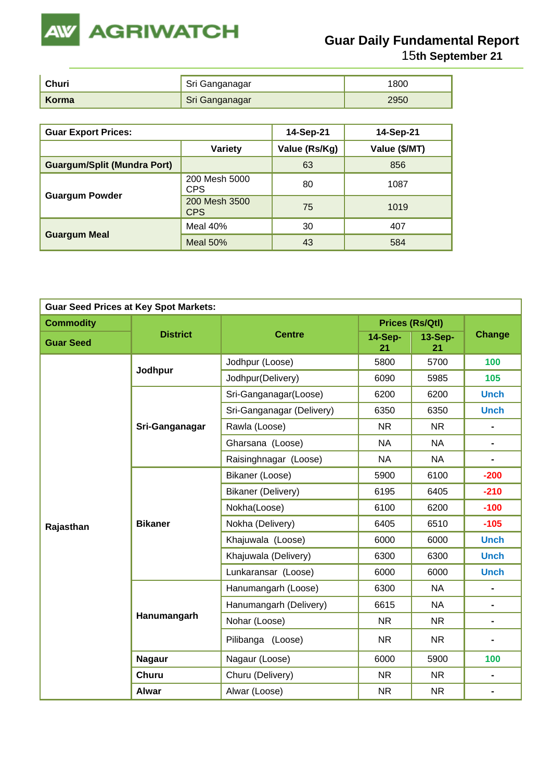

| Churi | <sub>∎</sub> Sri Ganganagar | 1800 |
|-------|-----------------------------|------|
| Korma | Sri Ganganagar              | 2950 |

| <b>Guar Export Prices:</b>         |                             | 14-Sep-21     | 14-Sep-21     |
|------------------------------------|-----------------------------|---------------|---------------|
|                                    | <b>Variety</b>              | Value (Rs/Kg) | Value (\$/MT) |
| <b>Guargum/Split (Mundra Port)</b> |                             | 63            | 856           |
|                                    | 200 Mesh 5000<br><b>CPS</b> | 80            | 1087          |
| <b>Guargum Powder</b>              | 200 Mesh 3500<br><b>CPS</b> | 75            | 1019          |
|                                    | Meal 40%                    | 30            | 407           |
| <b>Guargum Meal</b>                | Meal $50%$                  | 43            | 584           |

| <b>Guar Seed Prices at Key Spot Markets:</b> |                 |                           |                      |                        |                              |  |  |
|----------------------------------------------|-----------------|---------------------------|----------------------|------------------------|------------------------------|--|--|
| <b>Commodity</b>                             |                 |                           |                      | <b>Prices (Rs/Qtl)</b> | <b>Change</b>                |  |  |
| <b>Guar Seed</b>                             | <b>District</b> | <b>Centre</b>             | <b>14-Sep-</b><br>21 | <b>13-Sep-</b><br>21   |                              |  |  |
|                                              | Jodhpur         | Jodhpur (Loose)           | 5800                 | 5700                   | 100                          |  |  |
|                                              |                 | Jodhpur(Delivery)         | 6090                 | 5985                   | 105                          |  |  |
|                                              |                 | Sri-Ganganagar(Loose)     | 6200                 | 6200                   | <b>Unch</b>                  |  |  |
|                                              |                 | Sri-Ganganagar (Delivery) | 6350                 | 6350                   | <b>Unch</b>                  |  |  |
|                                              | Sri-Ganganagar  | Rawla (Loose)             | <b>NR</b>            | <b>NR</b>              | $\qquad \qquad \blacksquare$ |  |  |
|                                              |                 | Gharsana (Loose)          | <b>NA</b>            | <b>NA</b>              | $\blacksquare$               |  |  |
|                                              |                 | Raisinghnagar (Loose)     | <b>NA</b>            | <b>NA</b>              | $\qquad \qquad \blacksquare$ |  |  |
|                                              | <b>Bikaner</b>  | Bikaner (Loose)           | 5900                 | 6100                   | $-200$                       |  |  |
|                                              |                 | Bikaner (Delivery)        | 6195                 | 6405                   | $-210$                       |  |  |
|                                              |                 | Nokha(Loose)              | 6100                 | 6200                   | $-100$                       |  |  |
| Rajasthan                                    |                 | Nokha (Delivery)          | 6405                 | 6510                   | $-105$                       |  |  |
|                                              |                 | Khajuwala (Loose)         | 6000                 | 6000                   | <b>Unch</b>                  |  |  |
|                                              |                 | Khajuwala (Delivery)      | 6300                 | 6300                   | <b>Unch</b>                  |  |  |
|                                              |                 | Lunkaransar (Loose)       | 6000                 | 6000                   | <b>Unch</b>                  |  |  |
|                                              |                 | Hanumangarh (Loose)       | 6300                 | <b>NA</b>              | $\blacksquare$               |  |  |
|                                              |                 | Hanumangarh (Delivery)    | 6615                 | <b>NA</b>              | $\blacksquare$               |  |  |
|                                              | Hanumangarh     | Nohar (Loose)             | <b>NR</b>            | <b>NR</b>              | $\blacksquare$               |  |  |
|                                              |                 | Pilibanga (Loose)         | <b>NR</b>            | <b>NR</b>              | $\blacksquare$               |  |  |
|                                              | <b>Nagaur</b>   | Nagaur (Loose)            | 6000                 | 5900                   | 100                          |  |  |
|                                              | <b>Churu</b>    | Churu (Delivery)          | <b>NR</b>            | <b>NR</b>              | $\blacksquare$               |  |  |
|                                              | <b>Alwar</b>    | Alwar (Loose)             | <b>NR</b>            | NR.                    | $\blacksquare$               |  |  |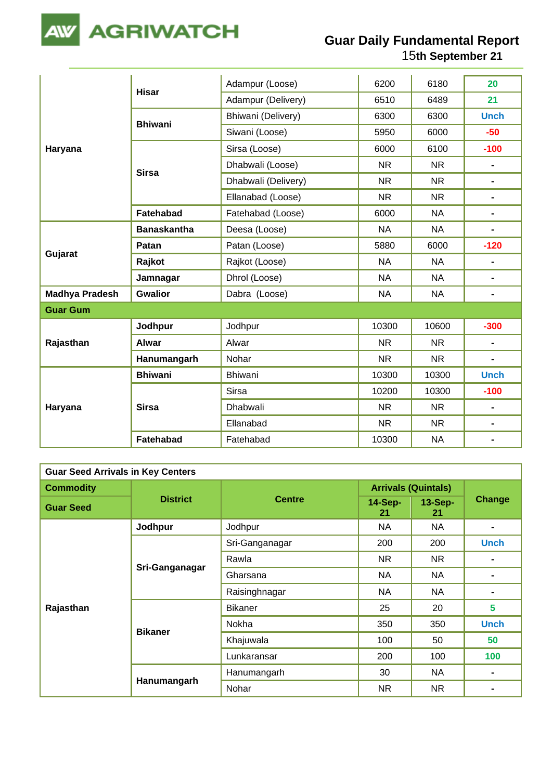

|                       |                    | Adampur (Loose)     | 6200      | 6180      | 20             |
|-----------------------|--------------------|---------------------|-----------|-----------|----------------|
|                       | <b>Hisar</b>       | Adampur (Delivery)  | 6510      | 6489      | 21             |
|                       | <b>Bhiwani</b>     | Bhiwani (Delivery)  | 6300      | 6300      | <b>Unch</b>    |
|                       |                    | Siwani (Loose)      | 5950      | 6000      | $-50$          |
| Haryana               |                    | Sirsa (Loose)       | 6000      | 6100      | $-100$         |
|                       | <b>Sirsa</b>       | Dhabwali (Loose)    | <b>NR</b> | <b>NR</b> | $\frac{1}{2}$  |
|                       |                    | Dhabwali (Delivery) | <b>NR</b> | <b>NR</b> | $\blacksquare$ |
|                       |                    | Ellanabad (Loose)   | <b>NR</b> | <b>NR</b> | $\blacksquare$ |
|                       | <b>Fatehabad</b>   | Fatehabad (Loose)   | 6000      | <b>NA</b> | $\blacksquare$ |
|                       | <b>Banaskantha</b> | Deesa (Loose)       | <b>NA</b> | <b>NA</b> | $\blacksquare$ |
|                       | Patan              | Patan (Loose)       | 5880      | 6000      | $-120$         |
| Gujarat               | Rajkot             | Rajkot (Loose)      | <b>NA</b> | <b>NA</b> | $\blacksquare$ |
|                       | Jamnagar           | Dhrol (Loose)       | <b>NA</b> | <b>NA</b> | $\blacksquare$ |
| <b>Madhya Pradesh</b> | <b>Gwalior</b>     | Dabra (Loose)       | <b>NA</b> | <b>NA</b> | $\blacksquare$ |
| <b>Guar Gum</b>       |                    |                     |           |           |                |
|                       | Jodhpur            | Jodhpur             | 10300     | 10600     | $-300$         |
| Rajasthan             | Alwar              | Alwar               | <b>NR</b> | <b>NR</b> | $\blacksquare$ |
|                       | Hanumangarh        | Nohar               | <b>NR</b> | <b>NR</b> | $\blacksquare$ |
|                       | <b>Bhiwani</b>     | Bhiwani             | 10300     | 10300     | <b>Unch</b>    |
| Haryana               |                    | <b>Sirsa</b>        | 10200     | 10300     | $-100$         |
|                       | <b>Sirsa</b>       | Dhabwali            | <b>NR</b> | <b>NR</b> | $\blacksquare$ |
|                       |                    | Ellanabad           | <b>NR</b> | <b>NR</b> | $\blacksquare$ |
|                       | Fatehabad          | Fatehabad           | 10300     | <b>NA</b> |                |

| <b>Guar Seed Arrivals in Key Centers</b> |                 |                |                            |                 |                |  |  |
|------------------------------------------|-----------------|----------------|----------------------------|-----------------|----------------|--|--|
| <b>Commodity</b>                         |                 | <b>Centre</b>  | <b>Arrivals (Quintals)</b> |                 |                |  |  |
| <b>Guar Seed</b>                         | <b>District</b> |                | <b>14-Sep-</b><br>21       | $13-Sep-$<br>21 | <b>Change</b>  |  |  |
|                                          | Jodhpur         | Jodhpur        | <b>NA</b>                  | <b>NA</b>       | $\blacksquare$ |  |  |
|                                          |                 | Sri-Ganganagar | 200                        | 200             | <b>Unch</b>    |  |  |
|                                          | Sri-Ganganagar  | Rawla          | NR.                        | NR.             | $\blacksquare$ |  |  |
|                                          |                 | Gharsana       | <b>NA</b>                  | NA              |                |  |  |
|                                          |                 | Raisinghnagar  | <b>NA</b>                  | <b>NA</b>       |                |  |  |
| Rajasthan                                |                 | <b>Bikaner</b> | 25                         | 20              | 5              |  |  |
|                                          |                 | Nokha          | 350                        | 350             | <b>Unch</b>    |  |  |
|                                          | <b>Bikaner</b>  | Khajuwala      | 100                        | 50              | 50             |  |  |
|                                          |                 | Lunkaransar    | 200                        | 100             | 100            |  |  |
|                                          | Hanumangarh     | Hanumangarh    | 30                         | NA              |                |  |  |
|                                          |                 | Nohar          | <b>NR</b>                  | <b>NR</b>       |                |  |  |